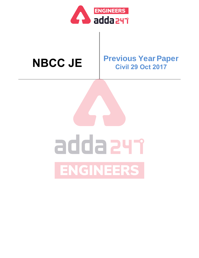

### **NBCC JE Previous Year Paper Civil 29 Oct 2017**

# addazyr ENGINEERS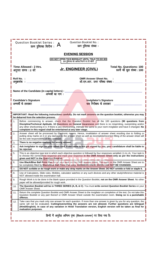|                                                                                                                                             | <b>Question Booklet No.:</b><br><b>Question Booklet Series:</b><br>प्रश्न पुस्तिका सिरीज: $\bm{A}$<br>प्रश्न पुस्तिका संख्या :                                                                                                                                                                                                                                                                                                      |  |  |  |  |
|---------------------------------------------------------------------------------------------------------------------------------------------|-------------------------------------------------------------------------------------------------------------------------------------------------------------------------------------------------------------------------------------------------------------------------------------------------------------------------------------------------------------------------------------------------------------------------------------|--|--|--|--|
|                                                                                                                                             | <b>EVENING SESSION</b>                                                                                                                                                                                                                                                                                                                                                                                                              |  |  |  |  |
|                                                                                                                                             | DO NOT OPEN THIS BOOKLET UNTIL TOLD TO DO SO<br>इस पुस्तिका को आदेश मिलने पर ही खोलें                                                                                                                                                                                                                                                                                                                                               |  |  |  |  |
| Time Allowed: 2 Hrs.<br><b>Total No. Questions: 100</b><br><u>Jr. ENGINEER (CIVIL)</u><br>प्रश्नों की कूल संख्या: 100<br>अनुमत समय : 2 घंटे |                                                                                                                                                                                                                                                                                                                                                                                                                                     |  |  |  |  |
| <b>OMR Answer Sheet No.</b><br>Roll No. :<br>ओ.एम.आर. उत्तर पत्रिका संख्या :<br>अनुक्रमांक :                                                |                                                                                                                                                                                                                                                                                                                                                                                                                                     |  |  |  |  |
|                                                                                                                                             | Name of the Candidate (in capital letters) :<br>अभ्यर्थी का नाम :                                                                                                                                                                                                                                                                                                                                                                   |  |  |  |  |
| <b>Candidate's Signature</b><br><b>Invigilator's Signature</b><br>कक्ष निरीक्षक के हस्ताक्षर<br>अभ्यर्थी के हस्ताक्षर                       |                                                                                                                                                                                                                                                                                                                                                                                                                                     |  |  |  |  |
|                                                                                                                                             | IMPORTANT: Read the following instructions carefully. Do not mark answers on the question booklet, otherwise you may<br>be debarred from the selection process.                                                                                                                                                                                                                                                                     |  |  |  |  |
| 1.                                                                                                                                          | Before commencing to answer, check that the Question Booklet has all the 100 questions (90 questions from<br>Discipline/Technical Aptitude, 10 Questions on General Awareness and there is no misprinting, overprinting and/or<br>any other shortcoming in it. If there is any shortcoming, intimate the same to your room invigilator and have it changed. No<br>complaint in this regard shall be entertained at any later stage. |  |  |  |  |
| 2.                                                                                                                                          | Answer sheet will be processed by Electronic means. Hence, invalidation of answer sheet resulting due to folding or<br>putting stray marks on it or any damage to the answer sheet as well as incomplete/incorrect filling of the answer sheet will<br>be the sole responsibility of the candidate.                                                                                                                                 |  |  |  |  |
| 3.                                                                                                                                          | There is no negative marking for wrong answer.                                                                                                                                                                                                                                                                                                                                                                                      |  |  |  |  |
| 4.                                                                                                                                          | Ask invigilator to sign on your admit card. If the same is not got signed by you, your candidature shall be liable to<br>be rejected.                                                                                                                                                                                                                                                                                               |  |  |  |  |
| 5.                                                                                                                                          | This is an objective type test in which each objective question is followed by four responses serialled (1) to (4). Your task is<br>to choose the correct/best response and mark your response in the OMR Answer Sheet only as per the instructions<br>given and NOT in the Question Booklet.                                                                                                                                       |  |  |  |  |
| 6.                                                                                                                                          | Use Black/Blue Ball Point Pen for all your work on the OMR Answer Sheet. The ovals on the OMR Answer Sheet are to<br>be completely filled by Black/Blue Ball Point Pen only. ANSWERS ONCE GIVEN CAN NOT BE CHANGED.                                                                                                                                                                                                                 |  |  |  |  |
| 7.                                                                                                                                          | DO NOT scribble or do rough work or make any stray marks on the Answer Sheet. DO NOT wrinkle or fold or staple it.                                                                                                                                                                                                                                                                                                                  |  |  |  |  |
| 8.                                                                                                                                          | Use of Calculators, Slide rules, Mobiles, calculator watches or any such devices and any other study/reference material is<br>NOT allowed inside the examination hall.                                                                                                                                                                                                                                                              |  |  |  |  |
| 9.                                                                                                                                          | Rough Work is to be done in the blank space provided in the Question Booklet, not on the OMR Answer Sheet. No other<br>paper will be allowed/provided for rough work.                                                                                                                                                                                                                                                               |  |  |  |  |
| 10.                                                                                                                                         | The Question Booklet will be in THREE SERIES (A, B, & C). You must write correct Question Booklet Series on your<br>OMR Answer Sheet.                                                                                                                                                                                                                                                                                               |  |  |  |  |
| 11.                                                                                                                                         | Return the complete Question Booklet and OMR Answer Sheet to the invigilator on completion of the test. Do not take this<br>Question Booklet or any part thereof or OMR Answer Sheet outside the examination room. Doing so is a punishable<br>offence.                                                                                                                                                                             |  |  |  |  |
| 12.                                                                                                                                         | Take care that you mark only one answer for each question. If more than one answer is given by you for any question, the<br>same will not be evaluated. Cutting/overwriting the answers are not allowed. Further questions are bilingual<br>(Hindi/English). In case of any variation in Hindi Translation version, English version will be taken as final for<br>evaluation purposes.                                              |  |  |  |  |
| हिन्दी में अनुदेश अन्तिम पृष्ठ (Back cover) पर दिया गया है।                                                                                 |                                                                                                                                                                                                                                                                                                                                                                                                                                     |  |  |  |  |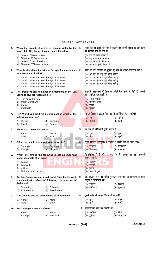#### **GENERAL AWARENESS**

| 1. | When the branch of a tree is shaken violently, the<br>leaves fall. This happening can be explained by:                                                                                           | 1.  | किसी पेड़ की शाखा को जोर से हिलाने पर पत्तियाँ गिरती हैं। इस घटना<br>की व्याख्या होती है गति के:                              |
|----|--------------------------------------------------------------------------------------------------------------------------------------------------------------------------------------------------|-----|-------------------------------------------------------------------------------------------------------------------------------|
|    | (1) Joules $1st$ law of motion<br>(2) Newton's $1st$ law of motion<br>(3) Joules $2^{nd}$ law of motion<br>(4) Newton's $3rd$ law of motion                                                      |     | (1) जूल के प्रथम नियम से<br>(2) न्यूटन के प्रथम नियम से<br>(3) जूल के द्वितीय नियम से<br>(4) न्यूटन के तृतीय नियम से          |
| 2. | What is the eligibility criteria for age for election as 2.<br>vice President of India?                                                                                                          |     | भारत के उप-राष्ट्रपति के चुनाव हेतु उम्र का अर्हता मानदण्ड क्या है?<br>(1) 35 वर्ष की आयु पूर्ण होनी चाहिए                    |
|    | (1) Should have completed the age of 35 years<br>(2) Should have completed the age of 30 years<br>(3) Should have completed the age of 25 years<br>(4) Should have completed the age of 32 years |     | (2) 30 वर्ष की आयु पूर्ण होनी चाहिए<br>(3) 25 वर्ष की आयु पूर्ण होनी चाहिए<br>(4) 32 वर्ष की आयु पूर्ण होनी चाहिए             |
| 3. | The president can nominate two members of the Lok 3.<br>Sabha to give representation to                                                                                                          |     | राष्ट्रपति लोक-सभा में निम्न का प्रतिनिधित्व करने के लिये दो सदस्यों<br>को नामांकित कर सकते हैं:                              |
|    | (1) The Anglo-Indians<br><b>Indian Christians</b><br>(2)<br>(3) Parsis<br>(4) Buddhists                                                                                                          |     | (1) आंग्ल भारतीय<br>भारतीय ईसाई<br>(2)<br>(3) पारसी<br>(4) बुद्धिष्ट                                                          |
| 4. | FIFA World Cup 2018 will be organised in which of the                                                                                                                                            | 4.  | FIFA विश्वकप 2018 किस देश में आयोजित किया जायेगा?                                                                             |
|    | following countries?<br>(1) Russia<br>(2) Germany<br>(4) France<br>(3) Brazil                                                                                                                    |     | (2) जर्मनी<br>(1) रूस<br>(3) ब्राज़ील<br>(4) फ्रॉस                                                                            |
| 5. | <b>Planet that rotates clockwise:</b>                                                                                                                                                            | 5.  | वह ग्रह जो दक्षिणावर्त घूर्णन करता है:                                                                                        |
|    | (2) Venus<br>$(1)$ Earth<br>(4) Pluto<br>$(3)$ Mars                                                                                                                                              |     | (1) पृथ्वी<br>(2)<br>शुक्र<br>(4) प्लूटो<br>(3) मंगल                                                                          |
| 6. | Select the smallest (computer) memory size?<br>(1) Terabyte<br>(2) Gigabyte<br>(3) Kilobyte<br>(4) Megabyte                                                                                      | 6.  | स्मृति आकार (कम्प्यूटर) के हिसाब से सबसे छोटे का चयन करें:<br>(1) टेराबाईट<br>(2) गिगाबाईट<br>(4) मेगाबाईट<br>किलोबाईट<br>(3) |
| 7. | Which one among the following is not an important<br>factor of climate of an area?                                                                                                               | -7. | निम्नलिखित में से कौन-सा एक क्षेत्र के जलवायु का एक महत्वपूर्ण<br>कारक नहीं है?                                               |
|    | (1) Latitude<br>Longitude<br>(2)                                                                                                                                                                 |     | अक्षांतर<br>(1)<br>देशांतर<br>(2)                                                                                             |
|    | Altitude<br>(3)<br>Distance from the sea<br>(4)                                                                                                                                                  |     | (3) तुंगता<br>(4) समुद्र से दूरी                                                                                              |
| 8. | Dr. C.V. Raman was awarded Nobel Prize for his work<br>connected with which of following phenomenon of<br><b>Radiation?</b>                                                                      | 8.  | डॉ. सी.वी. रमन को नोबेल पुरस्कार दिया गया जो विकिरण की किस<br>संवृत्ति से सम्बन्धित था?                                       |
|    | (1) Scattering<br>(2) Diffraction<br>(3) Interference<br>(4) Polarization                                                                                                                        |     | (1) प्रकीर्णन<br>(2) विवर्तन<br>(3) व्यतिकरण<br>(4) ध्रुवीकरण                                                                 |
| 9. | Find the odd one out on the basis of its rotation?                                                                                                                                               | 9.  | इसके घूर्णन के आधार विषम को पहचानें?                                                                                          |
|    | (1) Venus<br>$(2)$ Mars<br>(3) Pluto<br>$(4)$ Earth                                                                                                                                              |     | (2) मंगल<br>(1) शुक्र<br>(4) पृथ्वी<br>(3) प्लूटो                                                                             |
|    | 10. Vasco-de-gama was a native of:                                                                                                                                                               |     | 10. वास्कोडिगामा कहाँ का निवासी थाः                                                                                           |
|    | (1) America<br>(2) Britain<br>(3) Portugal<br>(4) Australia                                                                                                                                      |     | (1) अमेरिका<br>(2) ब्रिटेन<br>(3) पुर्तगाल<br>(4) आस्ट्रेलिया                                                                 |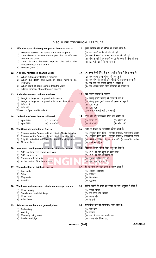#### DISCIPLINE / TECHNICAL APTITUDE

#### **11. Effective span of a freely supported beam or slab is:**

- (1) Distance between the centre of the end supports
- (2) Clear distance between the support plus the effective depth of the beam
- (3) Clear distance between support plus twice the effective depth of the beam
- (4) Least of (1) & (2)

#### **12. A doubly reinforced beam is used:**

- (1) When extra safety factor is required
- (2) When the depth and width of beam have to be restricted
- (3) When depth of beam is more than the width
- (4) A large moment of resistance is desired

#### **13. A slender element is the one whose:**

- (1) Length is large as compared to its depth
- (2) Length is large as compared to its other dimensions
- (3) L/D > 15
- (4) L/D >25

Where  $L =$  Span and  $D =$  depth

#### **14. Deflection of steel beams is limited:**

|        | (1) span/180 | $(2)$ span/250 |
|--------|--------------|----------------|
| $\sim$ |              | $\sim -$       |

(3) span/325 (4) span/350

#### **15. The Consistency Index of Soil is:**

- (1) (Natural Water Content Liquid Limit)/ Plasticity Index
- (2) (Natural Water Content Liquid Limit)/ Liquidity Index
- (3) (Liquid Limit– Natural Water Content)/ Plasticity Index
- (4) None of these

#### **16. Maximum bending moment occurs at a point where:**

- (1) S.F. is either zero or changes sign
- (2) S.F. is maximum
- (3) Transverse loading is zero
- (4) At the centre of the beam span

#### **17. The red colour of bricks is due to:**

- (1) Iron oxide
- (2) Silica
- (3) Magnesia
- (4) Alumina

**18. The lower water–cement ratio in concrete produces:**

- (1) More density
- (2) Small creep and shrinkage
- (3) More bond
- (4) All of these

#### **19. Reinforcement bars are generally bent:**

- (1) By heating
- (2) Welding
- (3) Manually using lever
- (4) By dies and jigs

#### 11. मुक्त समर्थित बीम या पटिया का प्रभावी स्पैन है:

- (1) छोर सपोर्ट के केंद्र के बीच की दूरी
- (2) बीम के सपोर्ट एवं प्रभावी गहराई के बीच की दूरी
- $\overline{a}$  ) बीम के सपोर्ट एवं प्रभावी गहराई के दुगुने के बीच की दुरी
- (4) (1) एवं (2) में से जो न्यूनतम

#### 12. एक डबल रेनफोर्समेंट बीम का उपयोग निम्न में किया जाता है:

- (1) जब ज्यादा सुरक्षा फैक्टर की जरुरत हो
- (2) जब बीम को गहराई और चौडाई को प्रतिबंधित करना है
- (3) जब बीम की गहराई चौडाई से अधिक हो
- (4) जब अधिक मोमेंट ऑफ रेजिस्टेंस की जरूरत हो

#### 13. एक स्लेंडर एलिमेंट है जिसका:

- $(1)$  लंबाई इसकी गहराई की तुलना में बड़ा है
- $(2)$  लंबाई इसके दूसरे आयाम की तुलना में बड़ा है
- (3) L/D > 15
- $(4)$  L/D > 25
- Where  $L = \pi F \cdot \nabla \cdot \nabla F = \pi F \cdot \nabla F$

#### 14. स्टील बीम की डिफ्लेक्शन निम्न तक सीमित है:

- (1) स्पैन/180 (2) स्पैन/250<br>(3) स्पैन/325 (4) स्पैन/350
- (3) स्पैन/325

#### 15. किसी भी मिटटी का कन्सिटेंसी इंडेक्स होता है?

- (1) (नेचूरल वाटर कंटेंट लिक्विड लिमिट) / प्लास्टिसिटी इंडेक्स
- (2) (नेचुरल वाटर कंटेंट लिक्विड लिमिट)/ लिक्विडिटी इंडेक्स
- (3) (लिक्विड लिमिट- नेचुरल वाटर कंटेंट )⁄ प्लास्टिसिटी इंडेक्स
- $(4)$  इनमें से कोई नहीं

#### 16. मैक्सिमम बेन्डिंग मोर्मेट किस बिन्दु पर होता है:

- (1) S.F. का मान शन्य या बदले चिन्ह
- $(2)$  S.F. का मान अधिकतम हो
- (3) ट्रांसवर्स लोडिंग जीरो हो
- (4) बीम स्पान के मध्य में

#### 17. ईट का लाल रंग किस तत्त्व के कारण होता है

- (1) आयरन ऑक्साइड
- (2) सिलिका
- (3) मैगनिशिया
- (4) एलुमिना

#### 18. कंक्रीट उत्पादो में वाटर एवं सीमेंट का कम अनुपात से होता है

- (1) ज्यादा डेंसिटी
- (2) कम क्रीप और श्रीन्केज
- (3) ज्यादा बांड
- (4) ये सभी

#### 19. रेनफोर्समेंट बार को सामान्यतः मोड़ा जाता है:

- (1) गर्मी द्वारा
- (2) वेल्डिंग
- (3) हाथ से लीवर का उपयोग कर
- (4) डाइज और जिग्स द्वारा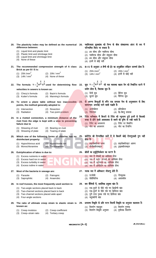|     | 20. The plasticity index may be defined as the numerical 20. प्लास्टिकता सूचकांक को निम्न के बीच संख्यात्मक अंतर के रूप में<br>difference between:                                            |     | परिभाषित किया जा सकता है:                                                                                                                                                                                                 |
|-----|-----------------------------------------------------------------------------------------------------------------------------------------------------------------------------------------------|-----|---------------------------------------------------------------------------------------------------------------------------------------------------------------------------------------------------------------------------|
|     | (1) Liquid limit and plastic limit<br>(2) Plastic limit and shrinkage limit<br>Liquid limit and shrinkage limit<br>(3)<br>None of these<br>(4)                                                |     | (1) द्रव सीमा और प्लास्टिक सीमा<br>(2) प्लास्टिक सीमा और संकुचन सीमा<br>(3) द्रव सीमा और संकुचन सीमा<br>(4) इनमें से कोई नहीं                                                                                             |
|     | 21. The recommended compression strength of A class 21. BIS के अनुसार A श्रेणी की ईंट का अनुशंसित संपीड़न सामर्थ्य होता है:<br>Brick as per BIS is:                                           |     |                                                                                                                                                                                                                           |
|     | (2) $20N/mm^2$<br>(1) $25N/mm^2$<br>(3) $14N/mm^2$<br>(4) None of these                                                                                                                       |     | (2) $20N/mm^2$<br>(1) $25N/mm^2$<br>(3) $14N/mm^2$ (4) इनमें से कोई नहीं                                                                                                                                                  |
| 22. | The formula $V = \frac{1}{n}R^{\frac{2}{3}}S^{\frac{1}{2}}$ used for determining flow 22. सूत्र $V = \frac{1}{n}R^{\frac{2}{3}}S^{\frac{1}{2}}$ जो मल व्यवस्था बहाव वेग को निर्धारित करने में |     |                                                                                                                                                                                                                           |
|     | velocities in sewers is known as:                                                                                                                                                             |     | प्रयोग होता है, किसका सूत्र है:                                                                                                                                                                                           |
|     | (2) Bazin's formula<br>(1) Chezy's formula<br>(3) Kutter's formula<br>(4) Manning's formula                                                                                                   |     | (1) चेजी सूत्र<br>(2) बेजिन सूत्र<br>(4) मैनिंग्स सूत्र<br>(3) कुटर्स सूत्र                                                                                                                                               |
| 23. | To orient a plane table without two inaccessible<br>points, the method generally adopted is:                                                                                                  | 23. | <mark>दो</mark> अगम्य बिन्दुओं के बगैर एक समतल मेज के अनुस्थापन के लिए<br>सामान्यतः अपनाई जाने वाली पद्धति हैः                                                                                                            |
|     | (1) Intersection<br>(2) Resection<br>(3) Radiation<br>(4) Two point problem                                                                                                                   |     | (1) अर्न्तच्छेदन<br>(2) प्रतिच्छेदन<br>(4) द्वि-बिन्दु समस्या<br>(3) रेडिएषन                                                                                                                                              |
| 24. | In a riveted connection, a minimum distance of the<br>rivet from the edge is kept with a view to preventing<br>failure due to                                                                 |     | 24. रिवेट कनेक्शन में किनारे से रिवेट की न्यूनतम दूरी इनमें से किसकी<br>वजह से होने वाली असफलता से बचने की दृष्टि से रखी जाती है:<br>(1) रिवेट का अपरूपण (2) रिवेट पर बियरिंग<br>(3) प्लेट का अपरूपण (4) प्लेट का टियरिंग |
|     | (2) Bearing on rivet<br>(1) Shearing of rivet<br>(3) Shearing of plate<br>(4) Tearing of plate                                                                                                |     |                                                                                                                                                                                                                           |
|     | 25. Which one of the following forms of chlorine has no 25. क्लोरीन की निम्नांकित रूपों में से किसमें कोई रोगाणुनाशी गुण नहीं<br>disinfectant property:                                       |     | होता हैः                                                                                                                                                                                                                  |
|     | (1) Hypochlorous acid<br>(2) Hypochlorite ion<br>(4) Trichloramine<br>(3) Monochloramine                                                                                                      |     | (2) हाइपोक्लोराइट आयन<br>(1) हाइपोक्लोरस अम्ल<br>(3) मोनोक्लोरामाइ <mark>न</mark><br>(4) ट्राइक्लोरामाइन                                                                                                                  |
|     | 26. Eutriphication of lakes is due to:                                                                                                                                                        |     | 26. झीलों का इयूट्रिफिकेशन का कारण है:                                                                                                                                                                                    |
|     | (1) Excess nutrients in water<br>Excess hard ion in water<br>(2)<br>Excess turbidity in water<br>(3)<br>(4) Excess iodine in water                                                            |     | (1) जल में पोषकों का आधिक्य होना<br>जल में कठोर आयनों का आधिक्य होना<br>(2)<br>जल में आविलता का आधिक्य होना<br>(3)<br>(4) जल में आयोडीन का आधिक्य होना                                                                    |
| 27. | Most of the bacteria in sewage are:                                                                                                                                                           | 27. | मलक जल में अधिकतर जीवाणु होते हैं:                                                                                                                                                                                        |
|     | (1) Parasite<br>(2) Patrognic<br>(3) Saprophitic<br>(4) Anaerobic                                                                                                                             |     | (1) परजीवी<br>(2) रोगमूलक<br>(3) सेप्रोफिटिक<br>(4) अवायवीय                                                                                                                                                               |
| 28. | In roof trusses, the most frequently used section is:                                                                                                                                         |     | 28. छत कैंचियों में, सर्वाधिक प्रयुक्त खंड है:                                                                                                                                                                            |
|     | (1) Two-angle sections placed back to back<br>(2) Two-channel sections placed back to back<br>(3) Two channel sections placed wide apart<br>(4) Four-angle sections                           |     | (1) एक-दूसरे के पीछे रखे गए द्विकोणी खंड<br>(2) एक-दूसरे के पीछे रखे गए द्विचैनल खंड<br>(3) पूरी तरह पृथक रखे गए द्विचैनल खंड<br>(4) चतुष्कोणी खंड                                                                        |
| 29. | The ratio of ultimate creep strain to elastic strain is 29.<br>known as:                                                                                                                      |     | प्रत्यास्थ विकृति के प्रति चरम विसर्पी विकृति का अनुपात कहलाता है:<br>(1) विसर्पण माड्यूल<br>(2) विसर्पण गुणांक                                                                                                           |
|     | (2) Creep coefficient<br>(1) Creep modulus<br>Creep-strain ratio<br>(4) Tertiary creep<br>(3)                                                                                                 |     | (3) विसर्पण विकृति अनुपात<br>(4) तृतीयक विसर्पण                                                                                                                                                                           |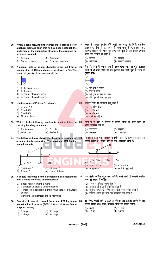- **30. When a canal flowing under pressure is carried below a natural drainage such that its FSL does not touch the underside of the supporting structure, the structure so provided is called:**
	- (1) Syphon (2) Aqueduct
	- (3) Super passage (4) Syphone–aqueduct
- **31. A circular hole of 50 mm diameter is cut out from a circular disc of 100 mm diameter as shown in Fig. The center of gravity of the section will lie:**



- (1) In the bigger circle
- (2) In the hole
- (3) At center of bigger circle
- (4) At center of smaller circle

**32. Limiting value of Poisson's ratio are:**

- $(1)$  –1 and 0.5
- (2) 1 and 0.5
- (3) 0 and 0.5
- (4) None of these
- **33. Which of the following section is most efficient in carrying bending moments:**
	- (1) Rectangular (2) Circular
	- (3) I–Section (4) T–Section
- **34. The following figure shows the shear force diagram for a beam simply supported. The maximum BM for the loaded beam is:**
	- b  $\mathfrak{p}$ B R C 6.5 3.Ōt  $\overline{3}$ . Ot 65 (1) 13.0 tm at B (2) 48 tm at C  $(3)$  9 tm at B  $(4)$  None of these
- **35. A doubly reinforced beam is considered less economical than a singly reinforced beam because:**
	- (1) Shear reinforcement is more
	- (2) Compressive steel is under stressed
	- (3) Tensile steel required is more than that for balanced section
	- (4) Concrete is not stressed to its full value
- **36. Quantity of cement required (in terms of 50 kg. bags) to cast a 5 m**×**4 m slabs (RCC 1:2:4) of thickness 10 cm is approximately:**

| $(1)$ 8 bags  | $(2)$ 11 bags |
|---------------|---------------|
| $(3)$ 13 bags | $(4)$ 14 bags |

- 30. दबाव के अन्दर प्रवाहित होने वाली एक नहर को किसी प्राकृतिक अपवाह के नीचे से इस प्रकार ले जाया जाता है कि इसका **FSL** सहायक संरचना को भीतर की तरफ नहीं छूता है। इस प्रकार उपलब्ध कराई गई संरचना को कहते हैं:
	- (1) साइफन (2) जलसेतु<br>(3) ऊर्ध्वलंघक (4) साइफन
		- (4) साइफन-जलसेत
- 31. जैसा कि चित्र में दर्शाया गया है 100 mm व्यास की एक वृत्ताकार हिस्क से 50 mm व्यास का एक वृत्ताकार छिद्र काटा हुआ है। काट का गुरूत्व केन्द्रः



- (1) बड़े वृत्त में पड़ेगा
- $(2)$  छिद्र में पडेगा
- (3) बड़े वृत्त के केन्द्र पर होगा
- $(4)$  छोटे वृत्त के केन्द्र पर होगा

#### 32. पाइजन रेश्यो की लिमिटिंग वैल्यू होती है

- $(1)$  –1 और 0.5
- $(2)$  1 और 0.5
- (3) 0 और 0.5
- $(4)$  इनमें से कोई नहीं
- 33. निम्न में से कौन से सेक्शन में बेन्डिंग मोमेंट को वहन करने की शक्ति सर्वाधिक होती है:

| (1) रेक्टंगुलर | (2) सर्कुलर  |
|----------------|--------------|
| (3) ।-सेक्शन   | (4) T-सेक्शन |

34. निम्नांकित चित्र एक सा<del>धारण स</del>मर्थित धरन के लिए अपरूपण बल आरेख दर्शाता है। भारित धरन के लिए अधिकतम BM है:



#### 35. एक दोहरी प्रबलित धरन कम खर्चीली मानी जाती है इकहरी प्रबलित धरन की तुलना में क्योंकिः

- (1) अपरूपण प्रतिबल ज्यादा होता है
- (2) संपीडित स्टील अर्न्त प्रतिबलित होती है
- (3) संतुलित खण्डों की अपेक्षा तन्य स्टील ज्यादा वांछित होती है
- (4) कंकरीट अपने पर्ण मान तक प्रतिबलित नहीं होता है
- 36. 10 सेमी. मोटाई वाले 5 m×4 m स्लैब (RCC 1:2:4) ढालने के लिए लगभग कितने (50 किया. बोरियाँ) सीमेंट की जरूरत पड़ेगी:

| $(1)$ 8 बोरे | (2) 11 बोरे |
|--------------|-------------|
| (3) 13 बोरे  | (4) 14 बोरे |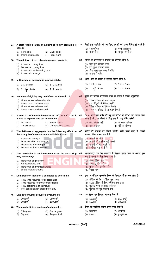| 37. किसी ज्ञात उद्विक्षेप के एक बिन्दु पर ली गई स्टाफ रीडिंग को कहते हैं:<br>(4) सन्मुख अवलोकन<br>40. दृढ़ता का मापांक परिभाषित किया जा सकता है इसके अनुपातिकः |
|----------------------------------------------------------------------------------------------------------------------------------------------------------------|
|                                                                                                                                                                |
|                                                                                                                                                                |
|                                                                                                                                                                |
|                                                                                                                                                                |
|                                                                                                                                                                |
|                                                                                                                                                                |
|                                                                                                                                                                |
|                                                                                                                                                                |
|                                                                                                                                                                |
|                                                                                                                                                                |
|                                                                                                                                                                |
| 5mm वाली एक स्टील की छड़ को 15°C से 40°C तक तापित किया<br>जाता है और यह फैलने के लिए मुक्त है। छड़ प्रेरित करेगी:                                              |
| (2) अपरूपण प्रतिबल                                                                                                                                             |
|                                                                                                                                                                |
| कंक्रीट की सामर्थ्य पर जिसमें एग्रीगेट प्रयोग किया जाता है, उसकी                                                                                               |
|                                                                                                                                                                |
| थियोडोलाइट एक ऐसा उपकरण है जिसका प्रयोग निम्न को अत्यंत शुद्ध                                                                                                  |
|                                                                                                                                                                |
|                                                                                                                                                                |
|                                                                                                                                                                |
| 44. मृदा पर संपीडन सूचकांक निम्न के निर्धारण में सहायक होता है:                                                                                                |
|                                                                                                                                                                |
|                                                                                                                                                                |
|                                                                                                                                                                |
|                                                                                                                                                                |
|                                                                                                                                                                |
|                                                                                                                                                                |
|                                                                                                                                                                |
|                                                                                                                                                                |
|                                                                                                                                                                |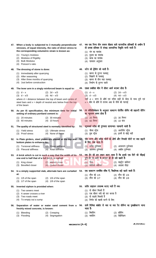|     | 47. When a body is subjected to 3 mutually perpendicular<br>stresses, of equal intensity, the ratio of direct stress to<br>the corresponding volumetric strain is known as: |     | 47. जब एक पिण्ड तीन समान तीव्रता वाले पारस्परिक प्रतिबलों के अधीन है<br>तो प्रत्यक्ष प्रतिबल से संबद्ध आयतनिक विकृति जानी जाती है:<br>(1) यंग का मापांक |
|-----|-----------------------------------------------------------------------------------------------------------------------------------------------------------------------------|-----|---------------------------------------------------------------------------------------------------------------------------------------------------------|
|     | (1) Young's modulus<br>(2) Modulus of Rigidity<br><b>Bulk Modulus</b><br>(3)<br>(4) Poisson's ratio                                                                         |     | (2) दृढ़ता का मापांक<br>(3) बल्क का मापांक<br>(4) पायसन अनुपात                                                                                          |
| 48. | The dressing of stone is done:                                                                                                                                              | 48. | स्टोन की ड्रेसिंग की जाती है:                                                                                                                           |
|     | (1) Immediately after quarrying<br>(2) After seasoning<br>(3) After three months of quarrying<br>(4) Just before construction                                               |     | (1) खनन के तुरन्त पश्चात्<br>(2) सिझाने के पश्चात्<br>(3) खनन के तीन माह पश्चात्<br>(4) निर्माण के तुरन्त पहले                                          |
|     | 49. The lever arm in a singly reinforced beam is equal to:                                                                                                                  | 49. | एकल प्रबलित बीम में लीवर आर्म बराबर होता है:                                                                                                            |
|     | $(2)$ 2d – $x/3$<br>$(1)$ d – x<br>$(4)$ 4d – $x/3$<br>$(3)$ d – x/3                                                                                                        |     | $(1)$ d – x<br>$(2)$ 2d – $x/3$<br>$(3)$ d – x/3<br>$(4)$ 4d – $x/3$                                                                                    |
|     | where $d = distance$ between the top of beam and centre of<br>steel bars and $x =$ depth of neutral axis below from the top<br>of the beam                                  |     | <mark>ज</mark> हाँ d = धरन के शीर्ष एवं स्टील छड़ों के केन्द्र के मध्य दूरी एवं<br>$x =$ बीम के शीर्ष से तटस्थ अक्ष के नीचे की गहराई                    |
|     |                                                                                                                                                                             |     |                                                                                                                                                         |
|     | 50. As per IS specification, the minimum time for initial<br>setting of ordinary portland cement is:                                                                        | 50. | IS स्पेसिफिकेशन के अनुसार साधारण पोर्टलैंड सीमेंट की प्राइमरी सेटिंग<br>का न्यूमतम समय होता है                                                          |
|     | $(1)$ 20 minutes<br>$(2)$ 30 minutes<br>$(3)$ 60 minutes<br>$(4)$ 10 hours                                                                                                  |     | (1) 20 मिनट<br>(2) 30 मिनट<br>(3) 60 मिनट<br>(4) 10 घंटा                                                                                                |
| 51. | The quality of structured steel is normally identified by:                                                                                                                  |     | 51. स्ट्रकचर्ड स्टील की गुणवता सामान्यतः पहचानी जाती हैः                                                                                                |
|     | (1) Yield stress<br>(2) Ultimate stress<br>(3) Proof stress<br>(4) None of these                                                                                            |     | (2) अल्टीमेट स्ट्रेस<br>(1) यील्ड स्ट्रेस<br>(4) इनमें से कोई नहीं<br>(3) प्रूफ स्ट्रेस                                                                 |
|     | 52. In Plate girders, steel plates are placed at the top and<br>bottom plates to enhance its:                                                                               | 52. | प्लेट धरण और स्टील प्लेटों को शीर्ष और निचली प्लेटों पर क्या बढ़ाने<br>के लिए रखा जाता है:                                                              |
|     | (1) Torsional stiffness<br>(2) Shear stiffness<br>(4) Axial stiffness<br>(3) Flexural stiffness                                                                             |     | (1) मरोड़ दुर्नम्यता<br>(2) अपरूपण दुर्नम्यता<br>(3) आनमन दुर्नम्यता<br>(4) अक्षीय दुर्नम्यता                                                           |
|     | 53. A brick which is cut in such a way that the width of its<br>one end is half that of a full brick, is called: <b>All Britannia</b>                                       |     | 53. एक ईंट को इस प्रकार काटा जाता है कि इसके एक सिरे की चौड़ाई<br>पूरी ईंट के आधे के बराबर हो तो उसे कहते हैं:                                          |
|     | (2) Mitred closer<br>(1) King closer<br>(3) Bevelled closer<br>(4) Queen closer                                                                                             |     | $(1)$ पौना<br>(2) माइट्रेट क्लोजर<br>(3) बेवेलित क्लोजर<br>(4) अद्धधा तोड़ा                                                                             |
|     | 54. In a simply supported slab, alternate bars are curtailed                                                                                                                | 54. | एक साधारण समर्थित स्लैब में, वैकल्पिक छड़े काटी जाती हैं:                                                                                               |
|     | at:<br>$(1)$ 1/5 of the span<br>$(2)$ 1/6 of the span<br>$(3)$ 1/7 of the span<br>$(4)$ 1/8 of the span                                                                     |     | (1) स्पैन की 1/5<br>(2) स्पैन की 1/6<br>(3) स्पैन की 1/7<br>(4) स्पैन की 1/8                                                                            |
|     | 55. Inverted siphon is provided when:                                                                                                                                       |     | 55. प्रतीप साइफन उपलब्ध कराए जाते हैं जबः                                                                                                               |
|     | (1) Two sewers meet<br>(2) A sewer crosses a river<br>(3) Two roads meet<br>(4) To empty out a sump                                                                         |     | (1) दो सीवर मिलते हैं<br>(2)  एक सीवर नदी को पार करता है<br>(3) दो सड़के मिलती हैं<br>(4) निर्गत को खाली करने के लिए                                    |
| 56. | Separation of water or water sand cement from a<br>freshly mixed concrete, is known:                                                                                        | 56. | ताजे मिश्रित कंक्रीट से जल या जल रेत सीमेन्ट का प्रथक्कीकरण जाना<br>जाता हैः                                                                            |
|     | (1) Bleeding<br>(2) Creeping<br>(3) Flooding<br>(4) Segregation                                                                                                             |     | (1) ब्लिडिंग<br>(2) क्रीपिंग<br>(4) सेग्रीगेशन<br>(3) फ्लडिंग                                                                                           |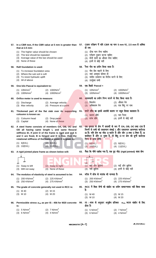|     | that at 2.5 mm:                                                                                                                                                                                                                |                                                          |     | हो तबः                                                                                                                 | 57. In a CBR test, If the CBR value at 5 mm is greater than 57. CBR परीक्षण में यदि CBR का मान 5 mm पर, 2.5 mm से अधिक                                                                        |
|-----|--------------------------------------------------------------------------------------------------------------------------------------------------------------------------------------------------------------------------------|----------------------------------------------------------|-----|------------------------------------------------------------------------------------------------------------------------|-----------------------------------------------------------------------------------------------------------------------------------------------------------------------------------------------|
|     | (1) The higher value should be chosen<br>(2) The test should be repeated<br>(3) Average value of the two should be used<br>(4) None of these                                                                                   |                                                          |     | (1) ऊँचा मान लेना चाहिए<br>(2) परीक्षण दुबारा करना चाहिए<br>(3) दोनों मानों का औसत लेना चाहिए<br>(4) इनमें से कोई नहीं |                                                                                                                                                                                               |
| 58. | <b>Raft foundation is used:</b>                                                                                                                                                                                                |                                                          |     | 58. रैफ्ट नीव का प्रयोग किया जाता है:                                                                                  |                                                                                                                                                                                               |
|     | (1) To increase foundation area<br>(2) Where the sub soil is soft<br>(3) To resist hydraulic uplift<br>(4) All of above                                                                                                        |                                                          |     | (1) नीव क्षेत्र बढाने के लिए<br>(2) जहां अवमृदा कोमल हो<br>(3) जलीय उत्थापन का विरोध करने के लिए<br>(4) उपर्युक्त सभी  |                                                                                                                                                                                               |
| 59. | One kilo Pascal is equivalent to:                                                                                                                                                                                              |                                                          | 59. | एक किलो Pascal =                                                                                                       |                                                                                                                                                                                               |
|     | (1) 10N/mm <sup>2</sup><br>(3) $100N/mm^2$                                                                                                                                                                                     | (2) $1000N/m^2$<br>(4) $1000N/cm^2$                      |     | $(1) 10N/mm^2$<br>(3) $100N/mm^2$                                                                                      | (2) $1000N/m^2$<br>(4) $1000N/cm^2$                                                                                                                                                           |
| 60. | Orifice meter is used to measure:                                                                                                                                                                                              |                                                          | 60. | आस्यमापी का प्रयोग निम्न मापने के लिए किया जाता है:                                                                    |                                                                                                                                                                                               |
|     | (1) Discharge<br>(3) Max velocity                                                                                                                                                                                              | (2) Average velocity<br>(4) Pressure at a point          |     | $(1)$ विसर्जन<br>(3) अधिकतम वेग                                                                                        | (2) औसत वेग<br>(4) एक बिंदु पर दाब                                                                                                                                                            |
|     | 61. Thickened part of the flat slab over its supporting                                                                                                                                                                        |                                                          | 61. | चपटे स्लैब का इसके आलंबी कालम पर स्थूल हिस्सा कहलाता है:                                                               |                                                                                                                                                                                               |
|     | coloumn is known as:<br>(1) Coloumn head<br>(3) Capital                                                                                                                                                                        | (2) Drop panel<br>(4) None of these                      |     | (1) कालम शीर्ष<br>(3) स्तंभ शीर्ष                                                                                      | (2) पात पैनल<br>(4) इनमें से कोई नहीं                                                                                                                                                         |
|     | 62. A steel frame consists of members OA, OB, OC and                                                                                                                                                                           |                                                          | 62. |                                                                                                                        | एक इस्पात के फ्रेम में सदस्यों के रूप में OA, OB, OC तथा OD है                                                                                                                                |
|     | OD all having same length L and same flexural<br>stiffness El. If joint O of the frame is rigid and end A<br>and C are fixed, B is hinged and D is free, then the<br>rotational stiffness of the frame at point O is given by: |                                                          |     | निम्न से प्राप्त होगी:                                                                                                 | जिनमें से सभी की एकसमान लंबाई L और एकसमान आनम्यता कठोरता<br>El है। यदि फ्रेम का जोड़ O कठोर है और छोर A तथा C स्थिर हैं, B<br>कब्जेदार है और D मुक्त है, तो बिंदु O पर फ्रेम की घूर्णी कठोरता |
|     | (1) 6(EI/L)<br>(3) 10(EI/L)                                                                                                                                                                                                    | (2) 8(EI/L)<br>(4) 11(EI/L)                              |     | (1) 6(EI/L)<br>(3) 10(EI/L)                                                                                            | (2) 8(EI/L)<br>(4) 11(EI/L)                                                                                                                                                                   |
| 63. | A rigid jointed plane frame as shown below will:                                                                                                                                                                               |                                                          | 63. |                                                                                                                        | जैसा कि नीचे दर्शाया गया है, एक दृढ़ जोड़ (rigid jointed) वाला फ्रेमः                                                                                                                         |
|     | <u>\</u><br>$^{\pi\pi}$<br>777<br>(1)<br>Sway to left<br>(2)<br>(3) Will not sway<br>(4)                                                                                                                                       | Sway to right<br>None of these                           |     | ↓<br>$\pi$<br>बाईं ओर झुकेगा<br>(1)<br>नहीं झुकेगा<br>(3)                                                              | (2) दाईं ओर झुकेगा<br>(4) इनमें से कोई नहीं                                                                                                                                                   |
| 64. | The modulus of elasticity of steel is assumed to be:                                                                                                                                                                           |                                                          |     | 64. स्टील में लोच के मापांक की मान्यता है:                                                                             |                                                                                                                                                                                               |
|     | $(1)$ 200 KN/mm <sup>2</sup><br>(3) 250 KN/mm <sup>2</sup>                                                                                                                                                                     | (2) 225 KN/mm <sup>2</sup><br>(4) 275 KN/mm <sup>2</sup> |     | (1) 200 KN/mm <sup>2</sup><br>(3) 250 KN/mm <sup>2</sup>                                                               | (2) 225 KN/mm <sup>2</sup><br>(4) 275 KN/mm <sup>2</sup>                                                                                                                                      |
| 65. | The grade of concrete generally not used in RCC is:                                                                                                                                                                            |                                                          | 65. |                                                                                                                        | RCC में किस श्रेणी की कंक्रीट का प्रयोग साधारणतया नहीं किया जाता                                                                                                                              |
|     | $(1)$ M 40                                                                                                                                                                                                                     | $(2)$ M 15                                               |     | हैः                                                                                                                    |                                                                                                                                                                                               |
|     | $(3)$ M 10                                                                                                                                                                                                                     | $(4)$ M 20                                               |     | $(1)$ M 40<br>$(3)$ M 10                                                                                               | $(2)$ M 15<br>$(4)$ M 20                                                                                                                                                                      |
| 66. | Permissible stress $\sigma_{cb}$ as per IS : 456 for M20 concrete<br>is:<br>5 $N/mm2$                                                                                                                                          | (2) 7 N/mm <sup>2</sup>                                  | 66. | होता हैः                                                                                                               | IS : 456 के अनुसार अनुज़ेय प्रतिबल $\sigma_{\rm cb}$ , M20 कंक्रीट के लिए                                                                                                                     |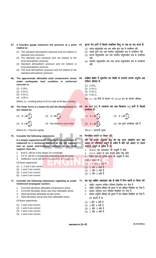- **67. A bourdon gauge measures the pressure at a point relative to:**
	- (1) The standard atmospheric pressure and not relative to absolute zero pressure
	- (2) The absolute zero pressure and not relative to the local atmospheric pressure
	- (3) Standard atmospheric pressure and not relative to local atmospheric pressure
	- (4) The local atmospheric pressure and not relative to the standard atmospheric pressure
- **68. The approximate allowable axial compressive stress under earthquake load condition in reinforced concrete is:**
	- $(1)$  0.25 $f_{ck}$
	- $(2)$  0.33  $f_{ck}$
	- (3) 0.44 *fck*
	- $(4)$  0.30  $f_{ck}$

Where,  $f_{ck}$  = crushing stress of 15 cm cube at 28 days crushing

**dx V** = **EI** $\frac{d^3v}{2}$ 

**(4)** Not related to each other

- **69. The shear force in a beam (V) and the displacement (**ν**) are related by:**
	- (1)  $V = EI \frac{dV}{dx^2}$ **2 dx d d EI**  $\frac{d^2v}{dx^2}$  (2) **V** = **EI**  $\frac{d^3v}{dx^3}$ **4**
	- (3) **V** = **EI** $\frac{d}{dx}$ **dx**

Where  $EI = Flexural$  rigidity

**70. Consider the following statements:**

**If a simply supported beam of uniform cross-section is subjected to a clockwise moment at the left support and an equal anticlockwise moment at the right support, then the:**

- 1. B.M.D. will be in the shape of a rectangle
- 2. S.F.D. will be a straight line coinciding with the base
- 3. Deflection curve will be in the shape of a circular arc

Of these statements

- (1) 1, 2 and 3 are correct
- (2) 1 and 2 are correct
- (3) 1 and 3 are correct
- (4) 2 and 3 are correct

**71. Consider the following statements regarding an under reinforced rectangular section:**

- 1. Concrete develops allowable compressive stress
- 2. Concrete develops stress less than allowable stress
- 3. Steel develops allowable tensile stress
- 4. Steel develops stress less than allowable stress

Of these statements;

- (1) 1 and 3 are correct
- (2) 1 and 4 are correct
- (3) 2 and 3 are correct
- (4) 2 and 4 are correct

#### 67. बूरन्दा गेज इनमें से किससे सम्बन्धित बिन्दु पर दाब का माप करता है:

- (1) मानक वायमंडलीय दाब तथा यर्थाथ शन्य दाब से सम्बन्धित नहीं
- (2) यथार्थ शून्य दाब तथा स्थानीय वायुमंडलीय दाब से सम्बन्धित नहीं
- (3) मानक वायुमंडलीय दाब तथा स्थानीय वायुमंडलीय दाब से सम्बन्धित नहीं
- (4) स्थानीय वायुमंडलीय दाब तथा मानक वायुमंडलीय दाब से सम्बन्धित नहीं

#### 68. प्रबलित कंक्रीट में भूकम्पीय भार स्थिति के अन्तर्गत लगभग अनुमेय अक्ष संपीडन प्रतिबल है:

- $(1)$  0.25 $f_{ck}$
- (2) 0.33 *fck*
- $(3)$  0.44  $f_{ck}$
- $(4)$  0.30  $f_{ck}$

<mark>जब, f<sub>ck</sub> = 28 दिनों के संदलन पर 15 cm घन का संदलन प्रतिबल</mark>

#### 69. एक धरन (V) में अपरूपण बल तथा विस्थापन (v) इनमें से किससे सम्बन्धित हैं:

(1) 
$$
V = EI \frac{d^2v}{dx^2}
$$
  
\n(2)  $V = EI \frac{d^3v}{dx^3}$   
\n(3)  $V = EI \frac{d^4v}{dx^4}$   
\n(4)  $l\sqrt{q}$   $\sqrt{r}$   $l\sqrt{r}$   $l\sqrt{r}$   $l\sqrt{r}$   $l\sqrt{r}$   $l\sqrt{r}$ 

**dx**

जब $EI = 3$ गनमनी दृढ़ता

#### 70. निम्नांकित कथनों पर विचार करें।

यदि एक समान अनुप्रस्थ काट की एक सरल आधारित धरन बाएं आधार पर दक्षिणार्वत आघूर्ण के अधीन है और दाएं आधार पर समान वा<mark>मावर्त आधू</mark>र्ण के अधीन है तोः

- 1. B.M.D एक आयताकार की आकृति में होगी
- 2. S.F.D आधार के साथ संपाती सीधी रेखा होगी
- 3. विक्षेप वक्र एक वृत्तीय आर्क की आकृति में होगा

उपरोक्त कथनों में से

- (1) 1, 2 और 3 सही हैं (2) 1 और 2 सही हैं
- (3) 1 और 3 सही हैं
- (4) 2 और 3 सही हैं

#### एक न्यून प्रबलित आयताकार खंड के संबंध में निम्न कथनों पर विचार करें:

- 1. कंक्रीट अनुमत्य संपीड़न प्रतिबल विकसित कर लेता है
- 2. कंक्रीट अनुमत्य प्रतिबल की तुलना में कम प्रतिबल विकसित कर लेता है<br>3. इस्पात अनुमत्य तनन प्रतिबल विकसित कर लेता है
- इस्पात अनुमत्य तनन प्रतिबल विकसित कर लेता है
- 4 bLikr vuqeR; izfrcy dh rqyuk esa de izfrcy fodflr dj ysrk gS इन कथनों में से:
- (1) 1 और 3 सही है
- (2) 1 और 4 सही है
- (3) 2 और 3 सही है
- (4) 2 और 4 सही है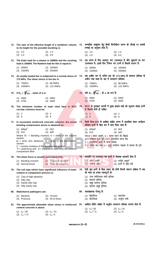|     | to its height for the possible buckling is:                                                                                                                              |     | 72. The ratio of the effective length of a cantilever column 72. सम्भावित आकुंचन हेतु किसी कैन्टीलीवर स्तम्भ की ऊँचाई पर प्रभावी<br>लम्बाई का अनुपात होता है: |
|-----|--------------------------------------------------------------------------------------------------------------------------------------------------------------------------|-----|---------------------------------------------------------------------------------------------------------------------------------------------------------------|
|     | $(1)$ 2.0<br>$(2)$ 1.5<br>$(3)$ 1.0<br>$(4)$ 0.5                                                                                                                         |     | $(1)$ 2.0<br>$(2)$ 1.5<br>(3) 1.0<br>$(4)$ 0.5                                                                                                                |
|     | 73. The Euler load for a column is 1000kN and the crushing<br>load is 1500kN. The Rankine load for this is equal to:                                                     |     | 73. एक स्तम्भ के लिए आयलर भार 1000kN है और कूचलने का भार<br>1500kN है। इसके लिए रैन्किन भार इनमें से किसके बराबर है:                                          |
|     | (1) 600kN<br>$(2)$ 1000 kN<br>(3) 1500kN<br>(4) 2500kN                                                                                                                   |     | (1) 600kN<br>$(2)$ 1000 kN<br>$(3)$ 1500kN<br>(4) 2500kN                                                                                                      |
|     | 74. An axially loaded bar is subjected to a normal stress of 74. एक अक्षीय रूप से भारित छड़ को 173 MPa के सामान्य प्रतिबल के<br>173 MPa. The shear stress in the bar is: |     | अधीन रखा जाता है। छड़ में अपरूपण प्रतिबलः                                                                                                                     |
|     | $(1)$ 75MPa<br>$(2)$ 86.5MPa<br>$(3)$ 100MPa<br>(4) 122.3MPa                                                                                                             |     | $(1)$ 75MPa<br>$(2)$ 86.5MPa<br>(3) 100MPa<br>(4) 122.3MPa                                                                                                    |
|     | 75. If $E_C = \sqrt[2]{f_{CK}}$ , value of a is:                                                                                                                         |     | 75. यदि E <sub>C</sub> $\sqrt[3]{f_{CK}}$ , तो a का मान है:                                                                                                   |
|     | $(1)$ 5900<br>$(2)$ 5800<br>$(3)$ 5700<br>$(4)$ 5600                                                                                                                     |     | $(1)$ 5900<br>$(2)$ 5800<br>$(3)$ 5700<br>$(4)$ 5600                                                                                                          |
|     | circular columns must be:                                                                                                                                                |     | 76. The minimum number of main steel bars in RCC 76. RCC के वृत्ताकार स्तम्भों में मुख्य इस्पात छड़ो की न्यूनतम संख्या इनमें<br>से कितनी होनी ही चाहिए:       |
|     | (1) 2<br>$(2)$ 4<br>(3) 6<br>(4)8                                                                                                                                        |     | (1) 2<br>$(2)$ 4<br>(4)8<br>(3) 6                                                                                                                             |
|     | 77. In uncracked reinforced concrete columns, the actual<br>bending compressive stress is obtained as:                                                                   | 77. | किसी बिना-दरार के प्रबलित कंक्रीट स्तम्भ में वास्तविक बंकन सम्पीडन<br>प्रतिबल इनमें से किस रूप में प्राप्त किया जाता है:                                      |
|     | $(1)$ M/bjd <sup>2</sup><br>$(2)$ M/Z<br>$(4)$ M/P<br>$(3)$ P/A                                                                                                          |     | $(1)$ M/bjd <sup>2</sup><br>$(2)$ M/Z<br>$(3)$ P/A<br>$(4)$ M/P                                                                                               |
|     | Where $M =$ Bending moment; $b =$ width of the column<br>section,<br>$jd$ = lever arm distances, $A = area$ of the transformed                                           |     | जब M = बंकन आघूर्ण, b = स्तम्भ खण्ड की चौड़ाई<br>jd = उत्तोलक भुजा दूरी, A = रूपान्तरित खण्ड क्षेत्र<br>Z = रूपान्तरित खण्ड के खण्ड मापांक                    |
|     | section<br>$Z =$ section modulus of the transformed section<br>$P =$ axial force and $d =$ distance of steel from the extreme<br>compression fibre                       |     | P = अक्षीय बल तथा d = सुदुर सम्पीडन फाइबर से इस्पात की दूरी                                                                                                   |
|     | 78. The shear force is usually associated with:                                                                                                                          |     | 78. आमतौर पर अपरूपण बल इनमें से किसका सहचारी होता है                                                                                                          |
|     | (1) Bending moment<br>(2) Torsional moment<br>(3) Normal thrust<br>(4) None of the above                                                                                 |     | (1) बंकन आघूर्ण<br>(2) मरोड़ी आघूर्ण<br>(4) इनमें से कोई नहीं<br>(3) सामान्य प्रणोद                                                                           |
|     | 79. The soil type which have significant influence of water<br>content in compaction process is:                                                                         | 79. | ऐसी मृदा इनमे से किस प्रकार की होगी जिसमे संहनन प्रक्रिया में जल<br>की मात्रा का प्रभाव महत्वपूर्ण होः                                                        |
|     | (1) Clay of high plasticity<br>Silty clay<br>(2)<br>Sandy silty clay<br>(3)<br>(4) Silty sandy clay                                                                      |     | (1) उच्च प्लास्टिकता वाली मृत्तिका<br>(2) सादमय मृत्तिका<br>(3) बलुई सादमय मृत्तिका<br>(4) सादमय बलुई मृत्तिका                                                |
| 80. | Waterborne pathogens are:                                                                                                                                                |     | 80. जलसंक्रामक रोगाणु हैः                                                                                                                                     |
|     | (2) Viruses<br>(1) Bacteria<br>(4) All of these<br>(3) Protozoa                                                                                                          |     | (1) बैक्टीरिया<br>(2) वायरसेज<br>(4) उपर्युक्त सभी<br>(3) प्रोटोजोआ                                                                                           |
|     | 81. The approximate allowable shear stress in reinforced<br>cement concrete is about:                                                                                    |     | 81. प्रबलित सीमेंट कंक्रीट में अनुज्ञेय अपरूपण प्रतिबल लगभग होता है:                                                                                          |
|     | $(1)$ f <sub>ck</sub> / 30<br>(2) $f_{ck}$ / 15<br>(4) $f_{ck}$ / 5<br>(3) $f_{ck}$ / 7.5                                                                                |     | $(1)$ f <sub>ck</sub> / 30<br>(2) $f_{ck}$ / 15<br>(3) $f_{ck}/7.5$<br>(4) $f_{ck}$ / 5                                                                       |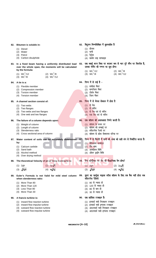#### **82. Bitumen is soluble in:** (1) Diesel (2) Water (3) Petrol (4) Carbon disulphide 82. बिटुमन निम्नलिखित में घुलनशील है (1) डीजल (2) पानी  $(3)$  पेट्रोल (4) कार्बन डाइ सल्फाइड **83. In a fixed beam having a uniformly distributed load over the whole span, the moments will be calculated by the formula:** (1)  $WL^2/12$  (2)  $WL^3/8$ <br>(3)  $WL^2/8$  (4)  $WL^3/12$  $(4)$  WL<sup>3</sup>/12 83. एक स्थाई धरन जिस पर बराबर रूप से भार पूरे स्पैन पर वितरीत है, उसका मोर्मेट की गणना का सूत्र होगाः (1)  $WL^2/12$  (2)  $WL^3/8$ <br>(3)  $WL^2/8$  (4)  $WL^3/1$  $(4)$  WL<sup>3</sup>/12 **84. A tie is a:** (1) Flexible member (2) Compression member (3) Torsion member (4) Tension member 84. निम्न में से टाई है -(1) लचीला मेंबर (2) कम्परेसन मेंबर  $(3)$  टोर्सन मेंबर (4) टेंसन मेंबर **85. A channel section consist of:** (1) Two webs (2) Two flanges (3) Two webs and two flanges (4) One web and two flanges 85. निम्न में से चेनल सेक्सन में होता है (1) दो वेब (2) दो फ्लेंज (3) दो वेब एवं दो फ्लेंज (4) एक वेब एवं दो फ्लेंज **86. The failure of a column depends upon:** (1) Weight of column (2) Length of column (3) Slenderness ratio (4) Cross sectional area of column 86. एक कॉलम की असफलता निर्भर करती है: (1) कॉलम के वजन पर (2) कॉलम की लम्बाई पर (3) स्लेंडरनेस रेश्यो पर (4) कॉलम के क्रोस सेक्सनल एरिया पर **87. Water content of soils can be accurately determined by:** (1) Calcium carbide (2) Sand bath (3) Alcohol method (4) Over drying method निम्न में से मिटटी में पानी की मात्रा को सही ढंग से निर्धारित करता है:  $(1)$  केल्शियम कार्बाइड (2) सैंड बाथ  $(3)$  अल्कोहल विधि (4) ओवर डाईंग विधि **88. The theoretical Velocity of jet at Vena Contracta is:** (1) 2gh (2) 2g **h** (3)  $\sqrt{2gh}$  (4)  $H\sqrt{2g}$ 88. वेना कोन्ट्रैक्टा पर जेट की सैद्धान्तिक वेग होगा? (1) 2gh (2) 2g **h** (3)  $\sqrt{2gh}$  (4)  $H\sqrt{2g}$ **89. Euler's Formula is not Valid for mild steel column when slenderness ratio:** (1) More Than 80 (2) More Than 120 (3) Less Than 80 (4) More Than 30 89. युलर का फार्मूला माइल्ड स्टील कॉलम के लिए तब बैध नहीं होता जब **स्लेंडरनेस रेशियो** (1) 80 से ज्यादा हो (2) 120 से ज्यादा हो (3) 80 से कम हो (4) 30 से ज्यादा हो **90. A francis turbine is:** (1) inward flow reaction turbine (2) inward flow impulse turbine (3) outward flow reaction turbine (4) outward flow impulse turbine 90. एक फ्रांसिस टरबाइन है: (1) इनवार्ड फ्लो रिएक्शन टरबाइन (2) इनवार्ड फ्लो इम्पल्स टरबाइन (3) आउटवार्ड फ्लो रिएक्शन टरबाइन (4) आउटवार्ड फ्लो इम्पल्स टरबाइन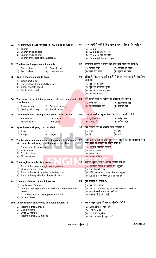|     | 91. The minimum cover for bars in RCC slabs should be:                                                                                                                                        |     | 91. RCC स्लेबों में छड़ों के लिए न्यूनतम आवरण कितना होना चाहिए:                                                                                          |
|-----|-----------------------------------------------------------------------------------------------------------------------------------------------------------------------------------------------|-----|----------------------------------------------------------------------------------------------------------------------------------------------------------|
|     | $(1)$ 15 mm<br>(2) 15 mm or dia of bars<br>(3) 25 mm or dia of bars<br>(4) 15 mm or the size of the aggregate                                                                                 |     | $(1)$ 15 mm<br>(2) 15 mm or छड़ो का व्यास<br>(3) 25 mm or छड़ो का व्यास<br>(4) 15 mm एवं मिलावे का आकार                                                  |
| 92. | The law used in permeability test is                                                                                                                                                          | 92. | पारगम्यता परीक्षण में प्रयोग किए जाने वाले नियम को कहते हैं:                                                                                             |
|     | (1) Stoke's law<br>(2) Pascal's law<br>(3) Darcy's law<br>(4) Newton's law                                                                                                                    |     | (1) स्टोक्स नियम<br>(2) पास्कल का नियम<br>(3) डार्सी का नियम<br>(4) न्यूटन का नियम                                                                       |
|     | 93. Dupit's theory is used to find:                                                                                                                                                           | 93. | ड़ूप्लिट के सिद्धान्त का प्रयोग इनमें से किसका पता लगाने के लिए किया                                                                                     |
|     | (1) Liquid limit of soil<br>(2) The coefficient permeability of soil<br>(3) Shear strength of soil<br>(4) Settlement of soil                                                                  |     | जाता हैः<br>(1) मृदा की द्रव सीमा<br>(2) मृदा का पारगम्यता गुणांक<br>(3) मृदा की अपरूपण सामर्थ्य<br>(4) मृदा का निषदन                                    |
| 94. | The survey, in which the curvature of earth is ignored,<br>is called as:                                                                                                                      | 94. | सर्वे, जिसमें पृथ्वी के कर्वेचर की अवहेलना की जाती है<br>(1) प्लेन सर्वे<br>(2) जिओडेटिक सर्वे                                                           |
|     | (1) Plane survey<br>(2) Geodetic survey<br>(3) Geological survey<br>(4) Aerial survey                                                                                                         |     | (3) जिओलॉजिकल सर्वे<br>(4) एरिअल सर्वे                                                                                                                   |
| 95. | The compressive strength of stone is found out by:                                                                                                                                            | 95. | पत्थर की कम्प्रेसिव स्ट्रेंग्थ किस टेस्ट के द्वारा नापी जाती है                                                                                          |
|     | (1) Attrition test<br>(2) Crushing test<br>(3) Hardness test<br>(4) Impact test                                                                                                               |     | (1) एटरीसन टेस्ट<br>(2) क्रसिंग टेस्ट<br>(3) हार्डनेस टेस्ट<br>(4) इम्पेक्ट टेस्ट                                                                        |
|     | 96. Apex line of a sloping roof is called:                                                                                                                                                    | 96. | एक स्लोपिंग रूफ की अपेक्स लाइन कहलाती है                                                                                                                 |
|     | $(1)$ Rise<br>$(2)$ Hip<br>(3) Ridge<br>$(4)$ verge                                                                                                                                           |     | (2) हिप<br>(1) राइस<br>(3) रिज<br>(4) वर्ज                                                                                                               |
| 97. | The bending moment acting on the plane of an element 97.<br>will cause the following type of stress on the plane:                                                                             |     | किसी तत्व के तल पर लगा हुआ बंकन आधूर्ण तल पर निम्नांकित में से<br>किस प्रकार के प्रतिबल का कारण बनता है:                                                 |
|     | (1) Transverse shear stress<br>(2) Axial stress<br>(3) Tension stress<br>(4) Normal stress                                                                                                    |     | (1) अनुप्रस्थ अपरू <mark>प</mark> ण प्रतिबल<br>अक्षीय प्रतिबल<br>(2)<br>(3) तनाव प्रतिबल                                                                 |
|     |                                                                                                                                                                                               |     | (4) सामान्य प्रतिबल                                                                                                                                      |
| 98. | The toughness index is equal to:                                                                                                                                                              | 98. | कठोरता सूचक इनमें से किसके समकक्ष होता है:<br>(1) अपरूपण सामर्थ्य व प्रवणता का अनुपात                                                                    |
|     | (1) Ratio of the shear strength to the gradient<br>(2) Limit of the liquid limit<br>(3) Ratio of the plasticity index to the flow limit<br>(4) Ratio of the liquid limit to the plastic limit |     | (2) द्रव सीमा की सीमा<br>(3) प्लैस्टिकता सूचक व प्रवाह सीमा का अनुपात<br>(4) द्रव सीमा व प्लास्टिक सीमा का अनुपात                                        |
| 99. | The consolidation of a soil involves:                                                                                                                                                         | 99. | मृदा संपिडन में शामिल है:                                                                                                                                |
|     | (1) Settlement of the soil<br>(2) Gradual drainage and compression of pore water and<br>pore air<br>(3) Compression of air in the pores of the soil<br>None of these<br>(4)                   |     | (1) मृदा का अधोपतन<br>(2) रन्ध्र जल तथा रन्ध्र वायु का क्रमिक अपवहन व सम्पीडन<br>(3) मृदा के रन्ध्रों में वायु का सम्पीडन<br>(4) उपरोक्त में से कोई नहीं |
|     | 100. Concentration of fluorides desirable in water is:                                                                                                                                        |     | 100. जल में फ्लूयराइड्स की सान्द्रता वांछनीय होती है:                                                                                                    |
|     | (1) Not more than 1 mg/litre<br>$(2)$ 1 to 2 mg/litre<br>(3) 10 to 20 mg/litre<br>Not more than 250 mg/litre<br>(4)                                                                           |     | (1) 1 mg/litre से ज्यादा नहीं<br>(2) 1 से 2 mg/litre<br>(3) 10 से 20 mg/litre<br>(4) 250 mg/litre से ज्यादा नहीं                                         |